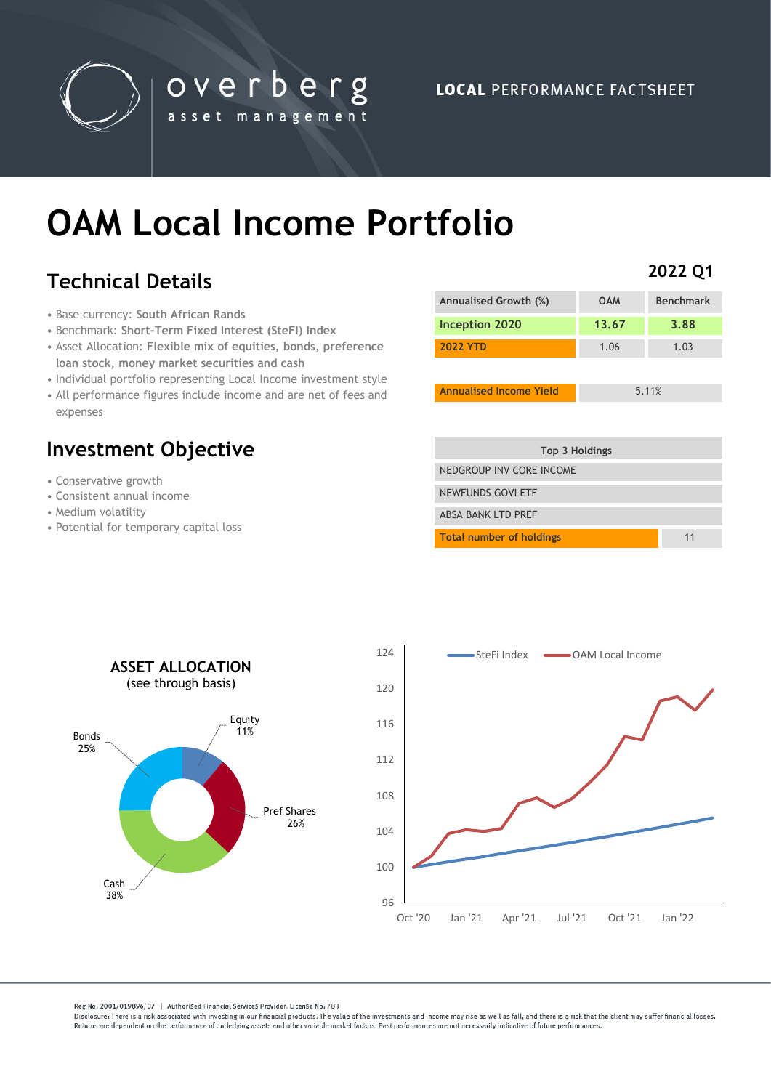

# **OAM Local Income Portfolio**

overberg

asset management

# **Technical Details**

- Base currency: **South African Rands**
- Benchmark: **Short-Term Fixed Interest (SteFI) Index**
- Asset Allocation: **Flexible mix of equities, bonds, preference loan stock, money market securities and cash**
- Individual portfolio representing Local Income investment style
- All performance figures include income and are net of fees and expenses

# **Investment Objective**

- Conservative growth
- Consistent annual income
- Medium volatility
- Potential for temporary capital loss

| Annualised Growth (%) | <b>OAM</b> | <b>Benchmark</b> |
|-----------------------|------------|------------------|
| Inception 2020        | 13.67      | 3.88             |
| <b>2022 YTD</b>       | 1.06       | 1.03             |
|                       |            |                  |

**Annualised Income Yield** 5.11%

**2022 Q1**

| Top 3 Holdings                  |    |
|---------------------------------|----|
| NEDGROUP INV CORE INCOME        |    |
| NEWFUNDS GOVI ETF               |    |
| <b>ABSA BANK I TD PRFF</b>      |    |
| <b>Total number of holdings</b> | 11 |



Reg No: 2001/019896/07 | Authorised Financial Services Provider. License No: 783

Disclosure: There is a risk associated with investing in our financial products. The value of the investments and income may rise as well as fall, and there is a risk that the client may suffer financial losses Beturns are dependent on the performance of underlying assets and other variable market factors. Past performances are not necessarily indicative of future performances.